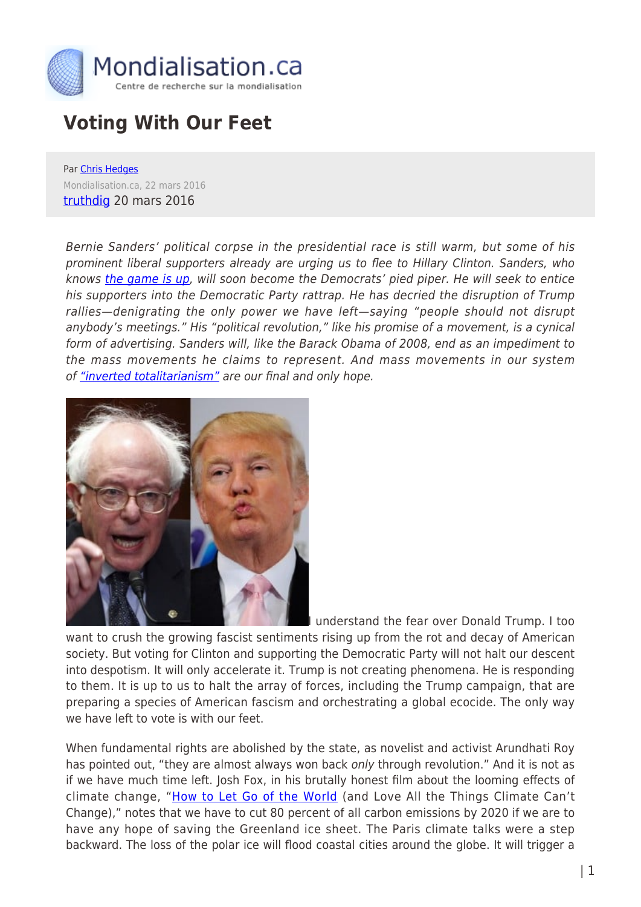

## **Voting With Our Feet**

Par [Chris Hedges](https://www.mondialisation.ca/author/chris-hedges) Mondialisation.ca, 22 mars 2016 [truthdig](http://www.truthdig.com/report/page2/voting_with_our_feet_20160320) 20 mars 2016

Bernie Sanders' political corpse in the presidential race is still warm, but some of his prominent liberal supporters already are urging us to flee to Hillary Clinton. Sanders, who knows [the game is up](http://www.independent.co.uk/news/world/americas/us-elections/its-all-over-for-bernie-sanders-heres-how-the-maths-stacks-up-against-him-a6934141.html), will soon become the Democrats' pied piper. He will seek to entice his supporters into the Democratic Party rattrap. He has decried the disruption of Trump rallies—denigrating the only power we have left—saying "people should not disrupt anybody's meetings." His "political revolution," like his promise of a movement, is a cynical form of advertising. Sanders will, like the Barack Obama of 2008, end as an impediment to the mass movements he claims to represent. And mass movements in our system of ["inverted totalitarianism"](http://www.truthdig.com/report/item/sheldon_wolin_and_inverted_totalitarianism_20151101) are our final and only hope.



I understand the fear over Donald Trump. I too want to crush the growing fascist sentiments rising up from the rot and decay of American society. But voting for Clinton and supporting the Democratic Party will not halt our descent into despotism. It will only accelerate it. Trump is not creating phenomena. He is responding to them. It is up to us to halt the array of forces, including the Trump campaign, that are preparing a species of American fascism and orchestrating a global ecocide. The only way we have left to vote is with our feet.

When fundamental rights are abolished by the state, as novelist and activist Arundhati Roy has pointed out, "they are almost always won back only through revolution." And it is not as if we have much time left. Josh Fox, in his brutally honest film about the looming effects of climate change, "[How to Let Go of the World](http://www.howtoletgomovie.com/) (and Love All the Things Climate Can't Change)," notes that we have to cut 80 percent of all carbon emissions by 2020 if we are to have any hope of saving the Greenland ice sheet. The Paris climate talks were a step backward. The loss of the polar ice will flood coastal cities around the globe. It will trigger a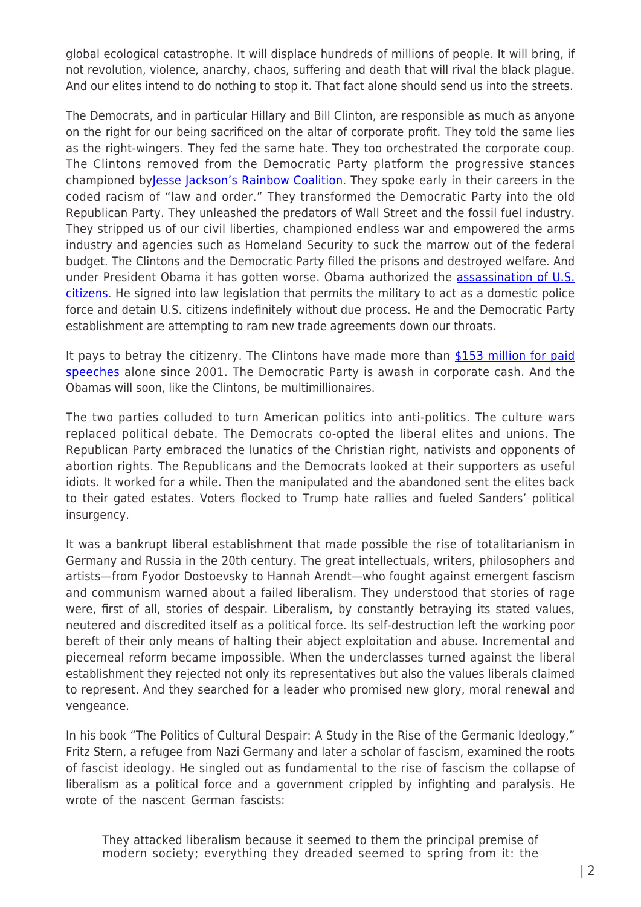global ecological catastrophe. It will displace hundreds of millions of people. It will bring, if not revolution, violence, anarchy, chaos, suffering and death that will rival the black plague. And our elites intend to do nothing to stop it. That fact alone should send us into the streets.

The Democrats, and in particular Hillary and Bill Clinton, are responsible as much as anyone on the right for our being sacrificed on the altar of corporate profit. They told the same lies as the right-wingers. They fed the same hate. They too orchestrated the corporate coup. The Clintons removed from the Democratic Party platform the progressive stances championed by[Jesse Jackson's Rainbow Coalition.](http://rainbowpush.org/pages/the_organization) They spoke early in their careers in the coded racism of "law and order." They transformed the Democratic Party into the old Republican Party. They unleashed the predators of Wall Street and the fossil fuel industry. They stripped us of our civil liberties, championed endless war and empowered the arms industry and agencies such as Homeland Security to suck the marrow out of the federal budget. The Clintons and the Democratic Party filled the prisons and destroyed welfare. And under President Obama it has gotten worse. Obama authorized the [assassination of U.S.](http://www.theguardian.com/world/2014/jun/23/us-justification-drone-killing-american-citizen-awlaki) [citizens](http://www.theguardian.com/world/2014/jun/23/us-justification-drone-killing-american-citizen-awlaki). He signed into law legislation that permits the military to act as a domestic police force and detain U.S. citizens indefinitely without due process. He and the Democratic Party establishment are attempting to ram new trade agreements down our throats.

It pays to betray the citizenry. The Clintons have made more than [\\$153 million for paid](http://www.cnn.com/2016/02/05/politics/hillary-clinton-bill-clinton-paid-speeches/) [speeches](http://www.cnn.com/2016/02/05/politics/hillary-clinton-bill-clinton-paid-speeches/) alone since 2001. The Democratic Party is awash in corporate cash. And the Obamas will soon, like the Clintons, be multimillionaires.

The two parties colluded to turn American politics into anti-politics. The culture wars replaced political debate. The Democrats co-opted the liberal elites and unions. The Republican Party embraced the lunatics of the Christian right, nativists and opponents of abortion rights. The Republicans and the Democrats looked at their supporters as useful idiots. It worked for a while. Then the manipulated and the abandoned sent the elites back to their gated estates. Voters flocked to Trump hate rallies and fueled Sanders' political insurgency.

It was a bankrupt liberal establishment that made possible the rise of totalitarianism in Germany and Russia in the 20th century. The great intellectuals, writers, philosophers and artists—from Fyodor Dostoevsky to Hannah Arendt—who fought against emergent fascism and communism warned about a failed liberalism. They understood that stories of rage were, first of all, stories of despair. Liberalism, by constantly betraying its stated values, neutered and discredited itself as a political force. Its self-destruction left the working poor bereft of their only means of halting their abject exploitation and abuse. Incremental and piecemeal reform became impossible. When the underclasses turned against the liberal establishment they rejected not only its representatives but also the values liberals claimed to represent. And they searched for a leader who promised new glory, moral renewal and vengeance.

In his book "The Politics of Cultural Despair: A Study in the Rise of the Germanic Ideology," Fritz Stern, a refugee from Nazi Germany and later a scholar of fascism, examined the roots of fascist ideology. He singled out as fundamental to the rise of fascism the collapse of liberalism as a political force and a government crippled by infighting and paralysis. He wrote of the nascent German fascists:

They attacked liberalism because it seemed to them the principal premise of modern society; everything they dreaded seemed to spring from it: the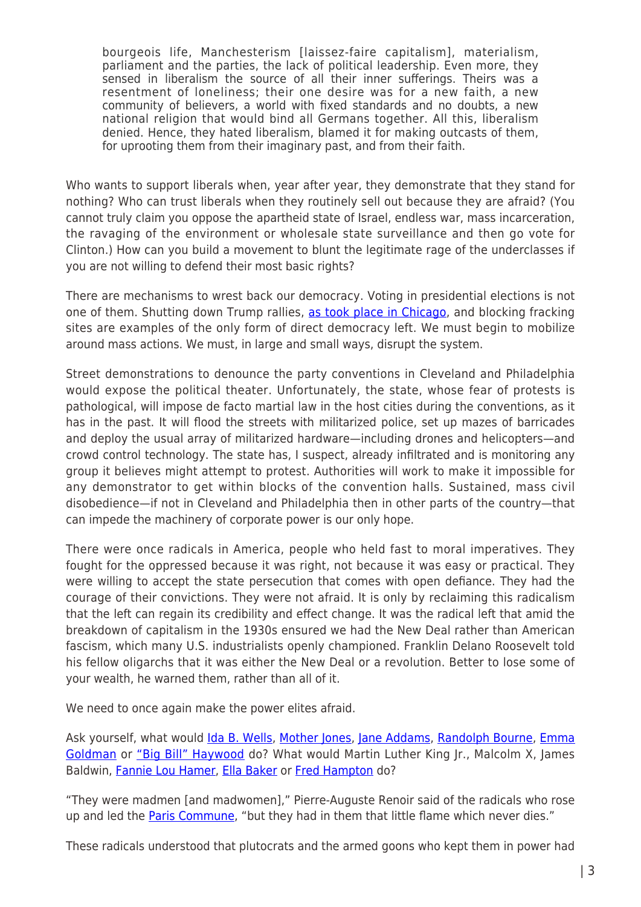bourgeois life, Manchesterism [laissez-faire capitalism], materialism, parliament and the parties, the lack of political leadership. Even more, they sensed in liberalism the source of all their inner sufferings. Theirs was a resentment of loneliness; their one desire was for a new faith, a new community of believers, a world with fixed standards and no doubts, a new national religion that would bind all Germans together. All this, liberalism denied. Hence, they hated liberalism, blamed it for making outcasts of them, for uprooting them from their imaginary past, and from their faith.

Who wants to support liberals when, year after year, they demonstrate that they stand for nothing? Who can trust liberals when they routinely sell out because they are afraid? (You cannot truly claim you oppose the apartheid state of Israel, endless war, mass incarceration, the ravaging of the environment or wholesale state surveillance and then go vote for Clinton.) How can you build a movement to blunt the legitimate rage of the underclasses if you are not willing to defend their most basic rights?

There are mechanisms to wrest back our democracy. Voting in presidential elections is not one of them. Shutting down Trump rallies, [as took place in Chicago,](https://www.washingtonpost.com/news/post-politics/wp/2016/03/11/trump-cancels-chicago-rally-over-security-concerns/) and blocking fracking sites are examples of the only form of direct democracy left. We must begin to mobilize around mass actions. We must, in large and small ways, disrupt the system.

Street demonstrations to denounce the party conventions in Cleveland and Philadelphia would expose the political theater. Unfortunately, the state, whose fear of protests is pathological, will impose de facto martial law in the host cities during the conventions, as it has in the past. It will flood the streets with militarized police, set up mazes of barricades and deploy the usual array of militarized hardware—including drones and helicopters—and crowd control technology. The state has, I suspect, already infiltrated and is monitoring any group it believes might attempt to protest. Authorities will work to make it impossible for any demonstrator to get within blocks of the convention halls. Sustained, mass civil disobedience—if not in Cleveland and Philadelphia then in other parts of the country—that can impede the machinery of corporate power is our only hope.

There were once radicals in America, people who held fast to moral imperatives. They fought for the oppressed because it was right, not because it was easy or practical. They were willing to accept the state persecution that comes with open defiance. They had the courage of their convictions. They were not afraid. It is only by reclaiming this radicalism that the left can regain its credibility and effect change. It was the radical left that amid the breakdown of capitalism in the 1930s ensured we had the New Deal rather than American fascism, which many U.S. industrialists openly championed. Franklin Delano Roosevelt told his fellow oligarchs that it was either the New Deal or a revolution. Better to lose some of your wealth, he warned them, rather than all of it.

We need to once again make the power elites afraid.

Ask yourself, what would *[Ida B. Wells,](http://www.biography.com/people/ida-b-wells-9527635) [Mother Jones](http://www.motherjones.com/about/what-mother-jones/our-history)*, [Jane Addams,](http://www.nobelprize.org/nobel_prizes/peace/laureates/1931/addams-bio.html) [Randolph Bourne,](http://randolphbourne.org/rb-bio.html) [Emma](http://www.lib.berkeley.edu/goldman/) [Goldman](http://www.lib.berkeley.edu/goldman/) or ["Big Bill" Haywood](http://www.pbs.org/weta/thewest/people/d_h/haywood.htm) do? What would Martin Luther King Jr., Malcolm X, James Baldwin, [Fannie Lou Hamer](http://www.history.com/topics/black-history/fannie-lou-hamer), [Ella Baker](http://ellabakercenter.org/about/who-was-ella-baker) or [Fred Hampton](http://www.blackpast.org/aah/hampton-fred-1948-1969) do?

"They were madmen [and madwomen]," Pierre-Auguste Renoir said of the radicals who rose up and led the [Paris Commune,](http://www.britannica.com/event/Commune-of-Paris-1871) "but they had in them that little flame which never dies."

These radicals understood that plutocrats and the armed goons who kept them in power had